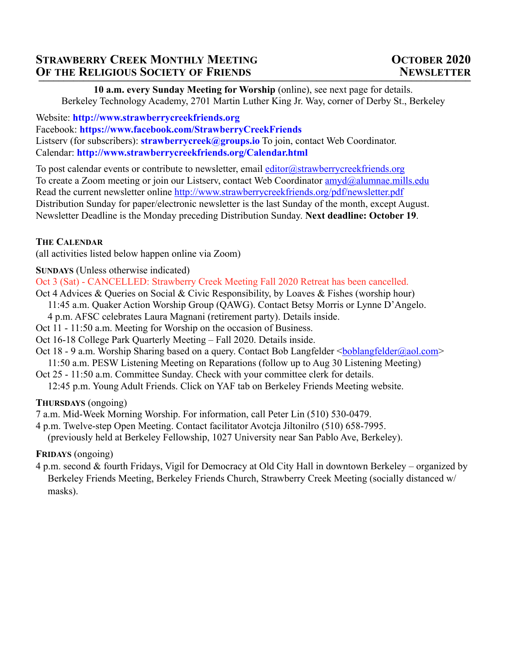# **STRAWBERRY CREEK MONTHLY MEETING CONTRACTES OCTOBER 2020 OF THE RELIGIOUS SOCIETY OF FRIENDS NEWSLETTER**

**10 a.m. every Sunday Meeting for Worship** (online), see next page for details. Berkeley Technology Academy, 2701 Martin Luther King Jr. Way, corner of Derby St., Berkeley

Website: **<http://www.strawberrycreekfriends.org>** Facebook: **<https://www.facebook.com/StrawberryCreekFriends>** Listserv (for subscribers): **[strawberrycreek@groups.io](http://www.apple.com)** To join, contact Web Coordinator. Calendar: **<http://www.strawberrycreekfriends.org/Calendar.html>**

To post calendar events or contribute to newsletter, email [editor@strawberrycreekfriends.org](mailto:editor@strawberrycreekfriends.org) To create a Zoom meeting or join our Listserv, contact Web Coordinator [amyd@alumnae.mills.edu](mailto:amyd@alumnae.mills.edu) Read the current newsletter online <http://www.strawberrycreekfriends.org/pdf/newsletter.pdf> Distribution Sunday for paper/electronic newsletter is the last Sunday of the month, except August. Newsletter Deadline is the Monday preceding Distribution Sunday. **Next deadline: October 19**.

# **THE CALENDAR**

(all activities listed below happen online via Zoom)

**SUNDAYS** (Unless otherwise indicated)

Oct 3 (Sat) - CANCELLED: Strawberry Creek Meeting Fall 2020 Retreat has been cancelled.

- Oct 4 Advices & Queries on Social & Civic Responsibility, by Loaves & Fishes (worship hour)
	- 11:45 a.m. Quaker Action Worship Group (QAWG). Contact Betsy Morris or Lynne D'Angelo.
- 4 p.m. AFSC celebrates Laura Magnani (retirement party). Details inside.
- Oct 11 11:50 a.m. Meeting for Worship on the occasion of Business.
- Oct 16-18 College Park Quarterly Meeting Fall 2020. Details inside.
- Oct 18 9 a.m. Worship Sharing based on a query. Contact Bob Langfelder <br/>[boblangfelder@aol.com>](mailto:boblangfelder@aol.com)
- 11:50 a.m. PESW Listening Meeting on Reparations (follow up to Aug 30 Listening Meeting)
- Oct 25 11:50 a.m. Committee Sunday. Check with your committee clerk for details.

12:45 p.m. Young Adult Friends. Click on YAF tab on Berkeley Friends Meeting website.

**THURSDAYS** (ongoing)

- 7 a.m. Mid-Week Morning Worship. For information, call Peter Lin (510) 530-0479.
- 4 p.m. Twelve-step Open Meeting. Contact facilitator Avotcja Jiltonilro (510) 658-7995.

(previously held at Berkeley Fellowship, 1027 University near San Pablo Ave, Berkeley).

**FRIDAYS** (ongoing)

4 p.m. second & fourth Fridays, Vigil for Democracy at Old City Hall in downtown Berkeley – organized by Berkeley Friends Meeting, Berkeley Friends Church, Strawberry Creek Meeting (socially distanced w/ masks).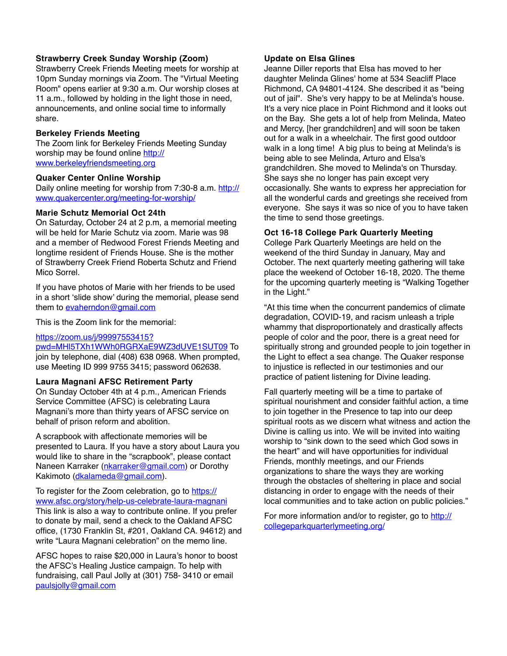#### **Strawberry Creek Sunday Worship (Zoom)**

Strawberry Creek Friends Meeting meets for worship at 10pm Sunday mornings via Zoom. The "Virtual Meeting Room" opens earlier at 9:30 a.m. Our worship closes at 11 a.m., followed by holding in the light those in need, announcements, and online social time to informally share.

#### **Berkeley Friends Meeting**

The Zoom link for Berkeley Friends Meeting Sunday [worship may be found online http://](http://www.berkeleyfriendsmeeting.org) [www.berkeleyfriendsmeeting.org](http://www.berkeleyfriendsmeeting.org)

#### **Quaker Center Online Worship**

Daily online meeting for worship from 7:30-8 a.m. [http://](http://www.quakercenter.org/meeting-for-worship/) [www.quakercenter.org/meeting-for-worship/](http://www.quakercenter.org/meeting-for-worship/)

#### **Marie Schutz Memorial Oct 24th**

On Saturday, October 24 at 2 p.m, a memorial meeting will be held for Marie Schutz via zoom. Marie was 98 and a member of Redwood Forest Friends Meeting and longtime resident of Friends House. She is the mother of Strawberry Creek Friend Roberta Schutz and Friend Mico Sorrel.

If you have photos of Marie with her friends to be used in a short 'slide show' during the memorial, please send them to [evaherndon@gmail.com](mailto:evaherndon@gmail.com)

This is the Zoom link for the memorial:

#### [https://zoom.us/j/99997553415?](https://zoom.us/j/99997553415?pwd=MHl5TXh1WWh0RGRXaE9WZ3dUVE1SUT09)

[pwd=MHl5TXh1WWh0RGRXaE9WZ3dUVE1SUT09](https://zoom.us/j/99997553415?pwd=MHl5TXh1WWh0RGRXaE9WZ3dUVE1SUT09) To join by telephone, dial (408) 638 0968. When prompted, use Meeting ID 999 9755 3415; password 062638.

#### **Laura Magnani AFSC Retirement Party**

On Sunday October 4th at 4 p.m., American Friends Service Committee (AFSC) is celebrating Laura Magnani's more than thirty years of AFSC service on behalf of prison reform and abolition.

A scrapbook with affectionate memories will be presented to Laura. If you have a story about Laura you would like to share in the "scrapbook", please contact Naneen Karraker [\(nkarraker@gmail.com](mailto:nkarraker@gmail.com)) or Dorothy Kakimoto ([dkalameda@gmail.com\)](mailto:dkalameda@gmail.com).

To register for the Zoom celebration, go to [https://](https://www.afsc.org/story/help-us-celebrate-laura-magnani) [www.afsc.org/story/help-us-celebrate-laura-magnani](https://www.afsc.org/story/help-us-celebrate-laura-magnani) This link is also a way to contribute online. If you prefer to donate by mail, send a check to the Oakland AFSC office, (1730 Franklin St, #201, Oakland CA. 94612) and write "Laura Magnani celebration" on the memo line.

AFSC hopes to raise \$20,000 in Laura's honor to boost the AFSC's Healing Justice campaign. To help with fundraising, call Paul Jolly at (301) 758- 3410 or email [paulsjolly@gmail.com](mailto:paulsjolly@gmail.com)

#### **Update on Elsa Glines**

Jeanne Diller reports that Elsa has moved to her daughter Melinda Glines' home at 534 Seacliff Place Richmond, CA 94801-4124. She described it as "being out of jail". She's very happy to be at Melinda's house. It's a very nice place in Point Richmond and it looks out on the Bay. She gets a lot of help from Melinda, Mateo and Mercy, [her grandchildren] and will soon be taken out for a walk in a wheelchair. The first good outdoor walk in a long time! A big plus to being at Melinda's is being able to see Melinda, Arturo and Elsa's grandchildren. She moved to Melinda's on Thursday. She says she no longer has pain except very occasionally. She wants to express her appreciation for all the wonderful cards and greetings she received from everyone. She says it was so nice of you to have taken the time to send those greetings.

#### **Oct 16-18 College Park Quarterly Meeting**

College Park Quarterly Meetings are held on the weekend of the third Sunday in January, May and October. The next quarterly meeting gathering will take place the weekend of October 16-18, 2020. The theme for the upcoming quarterly meeting is "Walking Together in the Light."

"At this time when the concurrent pandemics of climate degradation, COVID-19, and racism unleash a triple whammy that disproportionately and drastically affects people of color and the poor, there is a great need for spiritually strong and grounded people to join together in the Light to effect a sea change. The Quaker response to injustice is reflected in our testimonies and our practice of patient listening for Divine leading.

Fall quarterly meeting will be a time to partake of spiritual nourishment and consider faithful action, a time to join together in the Presence to tap into our deep spiritual roots as we discern what witness and action the Divine is calling us into. We will be invited into waiting worship to "sink down to the seed which God sows in the heart" and will have opportunities for individual Friends, monthly meetings, and our Friends organizations to share the ways they are working through the obstacles of sheltering in place and social distancing in order to engage with the needs of their local communities and to take action on public policies."

For more information and/or to register, go to [http://](http://collegeparkquarterlymeeting.org/) [collegeparkquarterlymeeting.org/](http://collegeparkquarterlymeeting.org/)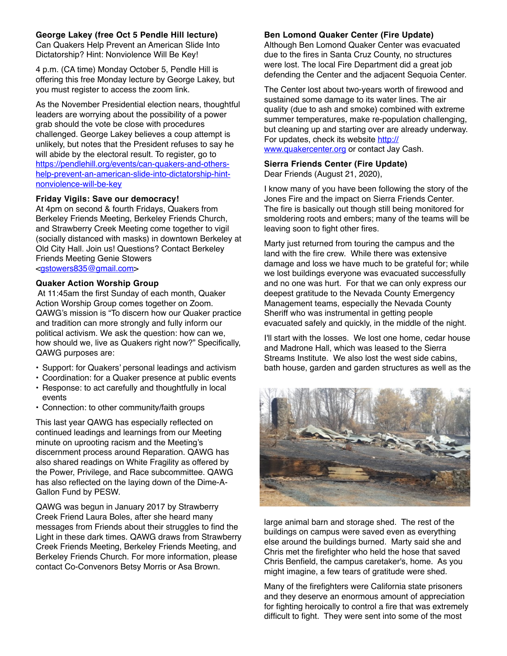#### **George Lakey (free Oct 5 Pendle Hill lecture)**

Can Quakers Help Prevent an American Slide Into Dictatorship? Hint: Nonviolence Will Be Key!

4 p.m. (CA time) Monday October 5, Pendle Hill is offering this free Monday lecture by George Lakey, but you must register to access the zoom link.

As the November Presidential election nears, thoughtful leaders are worrying about the possibility of a power grab should the vote be close with procedures challenged. George Lakey believes a coup attempt is unlikely, but notes that the President refuses to say he will abide by the electoral result. To register, go to [https://pendlehill.org/events/can-quakers-and-others](https://pendlehill.org/events/can-quakers-and-others-help-prevent-an-american-slide-into-dictatorship-hint-nonviolence-will-be-key)[help-prevent-an-american-slide-into-dictatorship-hint](https://pendlehill.org/events/can-quakers-and-others-help-prevent-an-american-slide-into-dictatorship-hint-nonviolence-will-be-key)[nonviolence-will-be-key](https://pendlehill.org/events/can-quakers-and-others-help-prevent-an-american-slide-into-dictatorship-hint-nonviolence-will-be-key)

#### **Friday Vigils: Save our democracy!**

At 4pm on second & fourth Fridays, Quakers from Berkeley Friends Meeting, Berkeley Friends Church, and Strawberry Creek Meeting come together to vigil (socially distanced with masks) in downtown Berkeley at Old City Hall. Join us! Questions? Contact Berkeley Friends Meeting Genie Stowers [<gstowers835@gmail.com](mailto:gstowers835@gmail.com)>

#### **Quaker Action Worship Group**

 At 11:45am the first Sunday of each month, Quaker Action Worship Group comes together on Zoom. QAWG's mission is "To discern how our Quaker practice and tradition can more strongly and fully inform our political activism. We ask the question: how can we, how should we, live as Quakers right now?" Specifically, QAWG purposes are:

- Support: for Quakers' personal leadings and activism
- Coordination: for a Quaker presence at public events
- Response: to act carefully and thoughtfully in local events
- Connection: to other community/faith groups

This last year QAWG has especially reflected on continued leadings and learnings from our Meeting minute on uprooting racism and the Meeting's discernment process around Reparation. QAWG has also shared readings on White Fragility as offered by the Power, Privilege, and Race subcommittee. QAWG has also reflected on the laying down of the Dime-A-Gallon Fund by PESW.

QAWG was begun in January 2017 by Strawberry Creek Friend Laura Boles, after she heard many messages from Friends about their struggles to find the Light in these dark times. QAWG draws from Strawberry Creek Friends Meeting, Berkeley Friends Meeting, and Berkeley Friends Church. For more information, please contact Co-Convenors Betsy Morris or Asa Brown.

#### **Ben Lomond Quaker Center (Fire Update)**

Although Ben Lomond Quaker Center was evacuated due to the fires in Santa Cruz County, no structures were lost. The local Fire Department did a great job defending the Center and the adjacent Sequoia Center.

The Center lost about two-years worth of firewood and sustained some damage to its water lines. The air quality (due to ash and smoke) combined with extreme summer temperatures, make re-population challenging, but cleaning up and starting over are already underway. For updates, check its website [http://](http://www.quakercenter.org) [www.quakercenter.org](http://www.quakercenter.org) or contact Jay Cash.

#### **Sierra Friends Center (Fire Update)** Dear Friends (August 21, 2020),

I know many of you have been following the story of the Jones Fire and the impact on Sierra Friends Center. The fire is basically out though still being monitored for smoldering roots and embers; many of the teams will be leaving soon to fight other fires.

Marty just returned from touring the campus and the land with the fire crew. While there was extensive damage and loss we have much to be grateful for; while we lost buildings everyone was evacuated successfully and no one was hurt. For that we can only express our deepest gratitude to the Nevada County Emergency Management teams, especially the Nevada County Sheriff who was instrumental in getting people evacuated safely and quickly, in the middle of the night.

I'll start with the losses. We lost one home, cedar house and Madrone Hall, which was leased to the Sierra Streams Institute. We also lost the west side cabins, bath house, garden and garden structures as well as the



large animal barn and storage shed. The rest of the buildings on campus were saved even as everything else around the buildings burned. Marty said she and Chris met the firefighter who held the hose that saved Chris Benfield, the campus caretaker's, home. As you might imagine, a few tears of gratitude were shed.

Many of the firefighters were California state prisoners and they deserve an enormous amount of appreciation for fighting heroically to control a fire that was extremely difficult to fight. They were sent into some of the most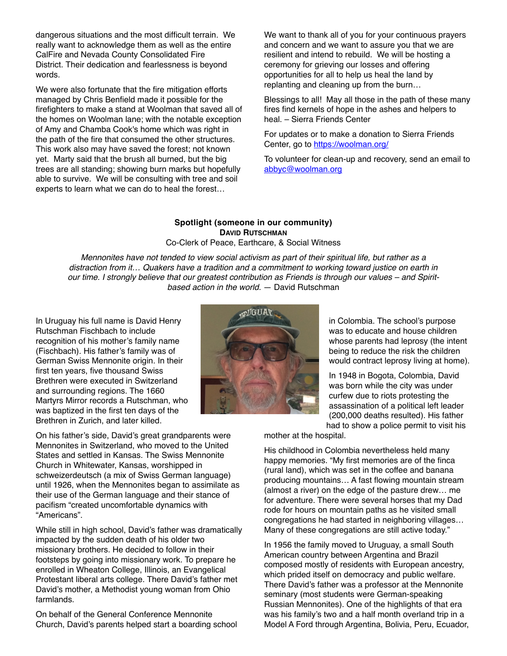dangerous situations and the most difficult terrain. We really want to acknowledge them as well as the entire CalFire and Nevada County Consolidated Fire District. Their dedication and fearlessness is beyond words.

We were also fortunate that the fire mitigation efforts managed by Chris Benfield made it possible for the firefighters to make a stand at Woolman that saved all of the homes on Woolman lane; with the notable exception of Amy and Chamba Cook's home which was right in the path of the fire that consumed the other structures. This work also may have saved the forest; not known yet. Marty said that the brush all burned, but the big trees are all standing; showing burn marks but hopefully able to survive. We will be consulting with tree and soil experts to learn what we can do to heal the forest…

We want to thank all of you for your continuous prayers and concern and we want to assure you that we are resilient and intend to rebuild. We will be hosting a ceremony for grieving our losses and offering opportunities for all to help us heal the land by replanting and cleaning up from the burn…

Blessings to all! May all those in the path of these many fires find kernels of hope in the ashes and helpers to heal. – Sierra Friends Center

For updates or to make a donation to Sierra Friends Center, go to<https://woolman.org/>

To volunteer for clean-up and recovery, send an email to [abbyc@woolman.org](mailto:abbyc@woolman.org)

### **Spotlight (someone in our community) DAVID RUTSCHMAN**

Co-Clerk of Peace, Earthcare, & Social Witness

*Mennonites have not tended to view social activism as part of their spiritual life, but rather as a distraction from it… Quakers have a tradition and a commitment to working toward justice on earth in our time. I strongly believe that our greatest contribution as Friends is through our values – and Spiritbased action in the world.* — David Rutschman

In Uruguay his full name is David Henry Rutschman Fischbach to include recognition of his mother's family name (Fischbach). His father's family was of German Swiss Mennonite origin. In their first ten years, five thousand Swiss Brethren were executed in Switzerland and surrounding regions. The 1660 Martyrs Mirror records a Rutschman, who was baptized in the first ten days of the Brethren in Zurich, and later killed.



in Colombia. The school's purpose was to educate and house children whose parents had leprosy (the intent being to reduce the risk the children would contract leprosy living at home).

In 1948 in Bogota, Colombia, David was born while the city was under curfew due to riots protesting the assassination of a political left leader (200,000 deaths resulted). His father had to show a police permit to visit his

On his father's side, David's great grandparents were Mennonites in Switzerland, who moved to the United States and settled in Kansas. The Swiss Mennonite Church in Whitewater, Kansas, worshipped in schweizerdeutsch (a mix of Swiss German language) until 1926, when the Mennonites began to assimilate as their use of the German language and their stance of pacifism "created uncomfortable dynamics with "Americans".

While still in high school, David's father was dramatically impacted by the sudden death of his older two missionary brothers. He decided to follow in their footsteps by going into missionary work. To prepare he enrolled in Wheaton College, Illinois, an Evangelical Protestant liberal arts college. There David's father met David's mother, a Methodist young woman from Ohio farmlands.

On behalf of the General Conference Mennonite Church, David's parents helped start a boarding school mother at the hospital.

His childhood in Colombia nevertheless held many happy memories. "My first memories are of the finca (rural land), which was set in the coffee and banana producing mountains… A fast flowing mountain stream (almost a river) on the edge of the pasture drew… me for adventure. There were several horses that my Dad rode for hours on mountain paths as he visited small congregations he had started in neighboring villages… Many of these congregations are still active today."

In 1956 the family moved to Uruguay, a small South American country between Argentina and Brazil composed mostly of residents with European ancestry, which prided itself on democracy and public welfare. There David's father was a professor at the Mennonite seminary (most students were German-speaking Russian Mennonites). One of the highlights of that era was his family's two and a half month overland trip in a Model A Ford through Argentina, Bolivia, Peru, Ecuador,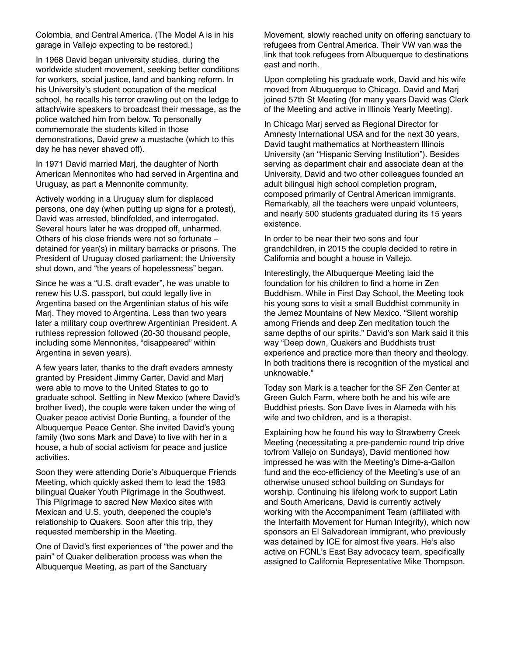Colombia, and Central America. (The Model A is in his garage in Vallejo expecting to be restored.)

In 1968 David began university studies, during the worldwide student movement, seeking better conditions for workers, social justice, land and banking reform. In his University's student occupation of the medical school, he recalls his terror crawling out on the ledge to attach/wire speakers to broadcast their message, as the police watched him from below. To personally commemorate the students killed in those demonstrations, David grew a mustache (which to this day he has never shaved off).

In 1971 David married Marj, the daughter of North American Mennonites who had served in Argentina and Uruguay, as part a Mennonite community.

Actively working in a Uruguay slum for displaced persons, one day (when putting up signs for a protest), David was arrested, blindfolded, and interrogated. Several hours later he was dropped off, unharmed. Others of his close friends were not so fortunate – detained for year(s) in military barracks or prisons. The President of Uruguay closed parliament; the University shut down, and "the years of hopelessness" began.

Since he was a "U.S. draft evader", he was unable to renew his U.S. passport, but could legally live in Argentina based on the Argentinian status of his wife Marj. They moved to Argentina. Less than two years later a military coup overthrew Argentinian President. A ruthless repression followed (20-30 thousand people, including some Mennonites, "disappeared" within Argentina in seven years).

A few years later, thanks to the draft evaders amnesty granted by President Jimmy Carter, David and Marj were able to move to the United States to go to graduate school. Settling in New Mexico (where David's brother lived), the couple were taken under the wing of Quaker peace activist Dorie Bunting, a founder of the Albuquerque Peace Center. She invited David's young family (two sons Mark and Dave) to live with her in a house, a hub of social activism for peace and justice activities.

Soon they were attending Dorie's Albuquerque Friends Meeting, which quickly asked them to lead the 1983 bilingual Quaker Youth Pilgrimage in the Southwest. This Pilgrimage to sacred New Mexico sites with Mexican and U.S. youth, deepened the couple's relationship to Quakers. Soon after this trip, they requested membership in the Meeting.

One of David's first experiences of "the power and the pain" of Quaker deliberation process was when the Albuquerque Meeting, as part of the Sanctuary

Movement, slowly reached unity on offering sanctuary to refugees from Central America. Their VW van was the link that took refugees from Albuquerque to destinations east and north.

Upon completing his graduate work, David and his wife moved from Albuquerque to Chicago. David and Marj joined 57th St Meeting (for many years David was Clerk of the Meeting and active in Illinois Yearly Meeting).

In Chicago Marj served as Regional Director for Amnesty International USA and for the next 30 years, David taught mathematics at Northeastern Illinois University (an "Hispanic Serving Institution"). Besides serving as department chair and associate dean at the University, David and two other colleagues founded an adult bilingual high school completion program, composed primarily of Central American immigrants. Remarkably, all the teachers were unpaid volunteers, and nearly 500 students graduated during its 15 years existence.

In order to be near their two sons and four grandchildren, in 2015 the couple decided to retire in California and bought a house in Vallejo.

Interestingly, the Albuquerque Meeting laid the foundation for his children to find a home in Zen Buddhism. While in First Day School, the Meeting took his young sons to visit a small Buddhist community in the Jemez Mountains of New Mexico. "Silent worship among Friends and deep Zen meditation touch the same depths of our spirits." David's son Mark said it this way "Deep down, Quakers and Buddhists trust experience and practice more than theory and theology. In both traditions there is recognition of the mystical and unknowable."

Today son Mark is a teacher for the SF Zen Center at Green Gulch Farm, where both he and his wife are Buddhist priests. Son Dave lives in Alameda with his wife and two children, and is a therapist.

Explaining how he found his way to Strawberry Creek Meeting (necessitating a pre-pandemic round trip drive to/from Vallejo on Sundays), David mentioned how impressed he was with the Meeting's Dime-a-Gallon fund and the eco-efficiency of the Meeting's use of an otherwise unused school building on Sundays for worship. Continuing his lifelong work to support Latin and South Americans, David is currently actively working with the Accompaniment Team (affiliated with the Interfaith Movement for Human Integrity), which now sponsors an El Salvadorean immigrant, who previously was detained by ICE for almost five years. He's also active on FCNL's East Bay advocacy team, specifically assigned to California Representative Mike Thompson.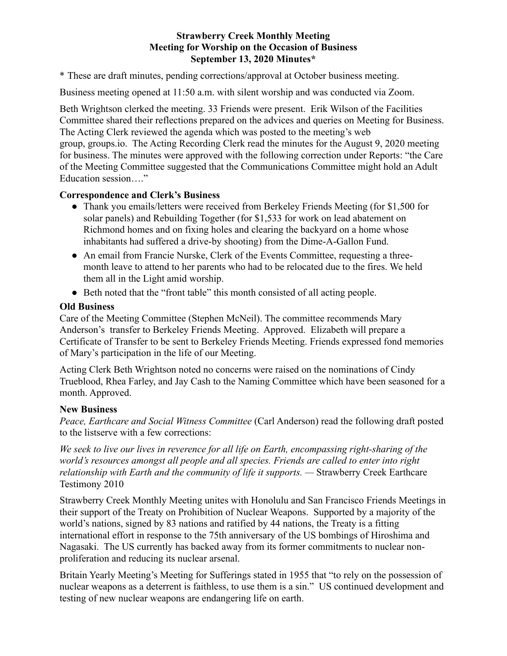### **Strawberry Creek Monthly Meeting Meeting for Worship on the Occasion of Business September 13, 2020 Minutes\***

\* These are draft minutes, pending corrections/approval at October business meeting.

Business meeting opened at 11:50 a.m. with silent worship and was conducted via Zoom.

Beth Wrightson clerked the meeting. 33 Friends were present. Erik Wilson of the Facilities Committee shared their reflections prepared on the advices and queries on Meeting for Business. The Acting Clerk reviewed the agenda which was posted to the meeting's web group, groups.io. The Acting Recording Clerk read the minutes for the August 9, 2020 meeting for business. The minutes were approved with the following correction under Reports: "the Care of the Meeting Committee suggested that the Communications Committee might hold an Adult Education session…."

### **Correspondence and Clerk's Business**

- Thank you emails/letters were received from Berkeley Friends Meeting (for \$1,500 for solar panels) and Rebuilding Together (for \$1,533 for work on lead abatement on Richmond homes and on fixing holes and clearing the backyard on a home whose inhabitants had suffered a drive-by shooting) from the Dime-A-Gallon Fund.
- An email from Francie Nurske, Clerk of the Events Committee, requesting a threemonth leave to attend to her parents who had to be relocated due to the fires. We held them all in the Light amid worship.
- Beth noted that the "front table" this month consisted of all acting people.

### **Old Business**

Care of the Meeting Committee (Stephen McNeil). The committee recommends Mary Anderson's transfer to Berkeley Friends Meeting. Approved. Elizabeth will prepare a Certificate of Transfer to be sent to Berkeley Friends Meeting. Friends expressed fond memories of Mary's participation in the life of our Meeting.

Acting Clerk Beth Wrightson noted no concerns were raised on the nominations of Cindy Trueblood, Rhea Farley, and Jay Cash to the Naming Committee which have been seasoned for a month. Approved.

### **New Business**

*Peace, Earthcare and Social Witness Committee* (Carl Anderson) read the following draft posted to the listserve with a few corrections:

*We seek to live our lives in reverence for all life on Earth, encompassing right-sharing of the world's resources amongst all people and all species. Friends are called to enter into right relationship with Earth and the community of life it supports.* — Strawberry Creek Earthcare Testimony 2010

Strawberry Creek Monthly Meeting unites with Honolulu and San Francisco Friends Meetings in their support of the Treaty on Prohibition of Nuclear Weapons. Supported by a majority of the world's nations, signed by 83 nations and ratified by 44 nations, the Treaty is a fitting international effort in response to the 75th anniversary of the US bombings of Hiroshima and Nagasaki. The US currently has backed away from its former commitments to nuclear nonproliferation and reducing its nuclear arsenal.

Britain Yearly Meeting's Meeting for Sufferings stated in 1955 that "to rely on the possession of nuclear weapons as a deterrent is faithless, to use them is a sin." US continued development and testing of new nuclear weapons are endangering life on earth.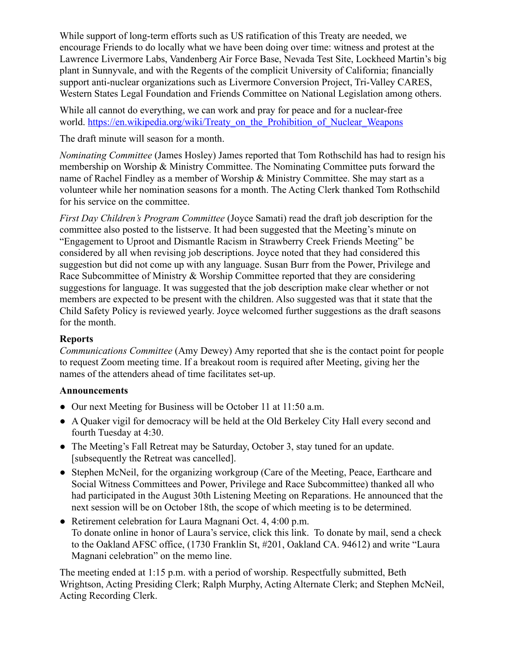While support of long-term efforts such as US ratification of this Treaty are needed, we encourage Friends to do locally what we have been doing over time: witness and protest at the Lawrence Livermore Labs, Vandenberg Air Force Base, Nevada Test Site, Lockheed Martin's big plant in Sunnyvale, and with the Regents of the complicit University of California; financially support anti-nuclear organizations such as Livermore Conversion Project, Tri-Valley CARES, Western States Legal Foundation and Friends Committee on National Legislation among others.

While all cannot do everything, we can work and pray for peace and for a nuclear-free world. https://en.wikipedia.org/wiki/Treaty\_on\_the\_Prohibition\_of\_Nuclear\_Weapons

The draft minute will season for a month.

*Nominating Committee* (James Hosley) James reported that Tom Rothschild has had to resign his membership on Worship & Ministry Committee. The Nominating Committee puts forward the name of Rachel Findley as a member of Worship & Ministry Committee. She may start as a volunteer while her nomination seasons for a month. The Acting Clerk thanked Tom Rothschild for his service on the committee.

*First Day Children's Program Committee* (Joyce Samati) read the draft job description for the committee also posted to the listserve. It had been suggested that the Meeting's minute on "Engagement to Uproot and Dismantle Racism in Strawberry Creek Friends Meeting" be considered by all when revising job descriptions. Joyce noted that they had considered this suggestion but did not come up with any language. Susan Burr from the Power, Privilege and Race Subcommittee of Ministry & Worship Committee reported that they are considering suggestions for language. It was suggested that the job description make clear whether or not members are expected to be present with the children. Also suggested was that it state that the Child Safety Policy is reviewed yearly. Joyce welcomed further suggestions as the draft seasons for the month.

### **Reports**

*Communications Committee* (Amy Dewey) Amy reported that she is the contact point for people to request Zoom meeting time. If a breakout room is required after Meeting, giving her the names of the attenders ahead of time facilitates set-up.

# **Announcements**

- Our next Meeting for Business will be October 11 at 11:50 a.m.
- A Quaker vigil for democracy will be held at the Old Berkeley City Hall every second and fourth Tuesday at 4:30.
- The Meeting's Fall Retreat may be Saturday, October 3, stay tuned for an update. [subsequently the Retreat was cancelled].
- Stephen McNeil, for the organizing workgroup (Care of the Meeting, Peace, Earthcare and Social Witness Committees and Power, Privilege and Race Subcommittee) thanked all who had participated in the August 30th Listening Meeting on Reparations. He announced that the next session will be on October 18th, the scope of which meeting is to be determined.
- Retirement celebration for Laura Magnani Oct. 4, 4:00 p.m. To donate online in honor of Laura's service, click this link. To donate by mail, send a check to the Oakland AFSC office, (1730 Franklin St, #201, Oakland CA. 94612) and write "Laura Magnani celebration" on the memo line.

The meeting ended at 1:15 p.m. with a period of worship. Respectfully submitted, Beth Wrightson, Acting Presiding Clerk; Ralph Murphy, Acting Alternate Clerk; and Stephen McNeil, Acting Recording Clerk.